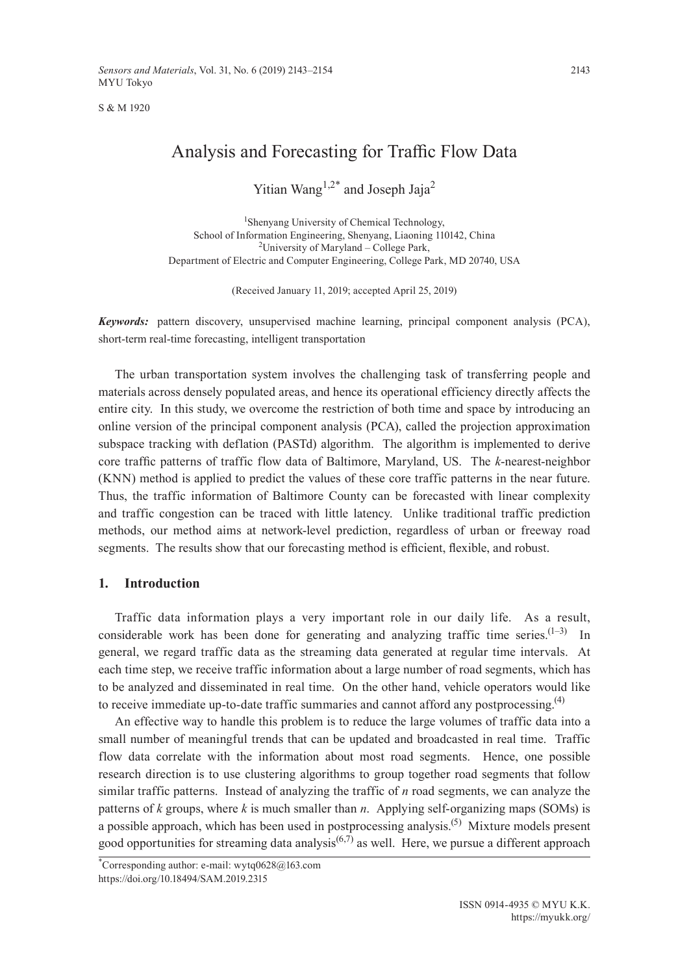S & M 1920

# Analysis and Forecasting for Traffic Flow Data

Yitian Wang<sup>1,2\*</sup> and Joseph Jaja<sup>2</sup>

1 Shenyang University of Chemical Technology, School of Information Engineering, Shenyang, Liaoning 110142, China <sup>2</sup>University of Maryland - College Park, Department of Electric and Computer Engineering, College Park, MD 20740, USA

(Received January 11, 2019; accepted April 25, 2019)

*Keywords:* pattern discovery, unsupervised machine learning, principal component analysis (PCA), short-term real-time forecasting, intelligent transportation

The urban transportation system involves the challenging task of transferring people and materials across densely populated areas, and hence its operational efficiency directly affects the entire city. In this study, we overcome the restriction of both time and space by introducing an online version of the principal component analysis (PCA), called the projection approximation subspace tracking with deflation (PASTd) algorithm. The algorithm is implemented to derive core traffic patterns of traffic flow data of Baltimore, Maryland, US. The *k*-nearest-neighbor (KNN) method is applied to predict the values of these core traffic patterns in the near future. Thus, the traffic information of Baltimore County can be forecasted with linear complexity and traffic congestion can be traced with little latency. Unlike traditional traffic prediction methods, our method aims at network-level prediction, regardless of urban or freeway road segments. The results show that our forecasting method is efficient, flexible, and robust.

## **1. Introduction**

Traffic data information plays a very important role in our daily life. As a result, considerable work has been done for generating and analyzing traffic time series. $(1-3)$  In general, we regard traffic data as the streaming data generated at regular time intervals. At each time step, we receive traffic information about a large number of road segments, which has to be analyzed and disseminated in real time. On the other hand, vehicle operators would like to receive immediate up-to-date traffic summaries and cannot afford any postprocessing.<sup>(4)</sup>

An effective way to handle this problem is to reduce the large volumes of traffic data into a small number of meaningful trends that can be updated and broadcasted in real time. Traffic flow data correlate with the information about most road segments. Hence, one possible research direction is to use clustering algorithms to group together road segments that follow similar traffic patterns. Instead of analyzing the traffic of *n* road segments, we can analyze the patterns of  $k$  groups, where  $k$  is much smaller than  $n$ . Applying self-organizing maps (SOMs) is a possible approach, which has been used in postprocessing analysis.<sup> $(5)$ </sup> Mixture models present good opportunities for streaming data analysis<sup> $(6,7)$ </sup> as well. Here, we pursue a different approach

<sup>\*</sup> Corresponding author: e-mail: [wytq0628@163.com](mailto:wytq0628@163.com) <https://doi.org/10.18494/SAM.2019.2315>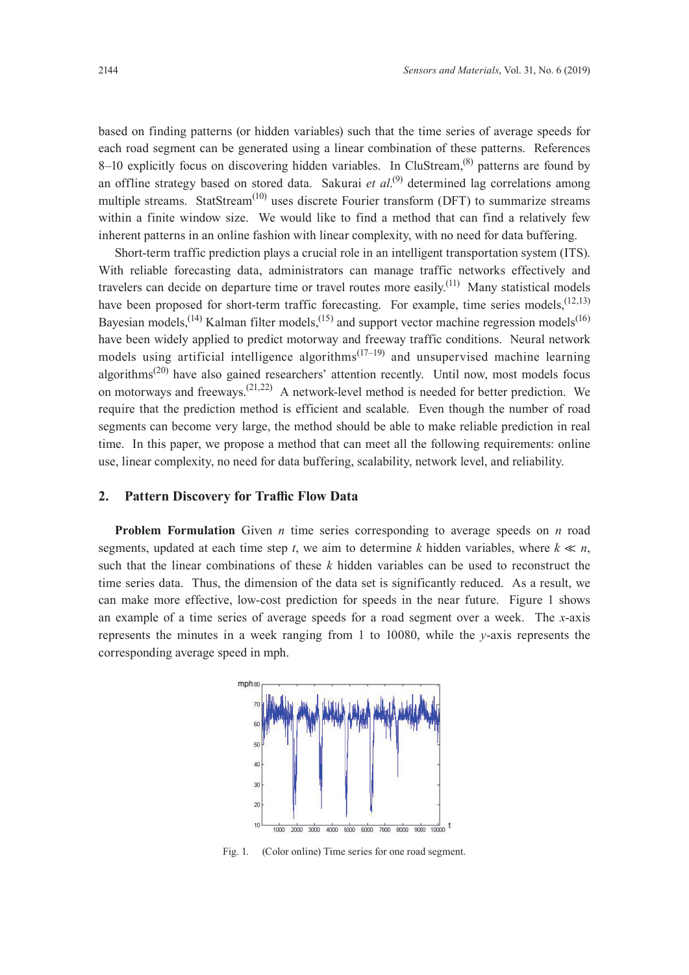based on finding patterns (or hidden variables) such that the time series of average speeds for each road segment can be generated using a linear combination of these patterns. References 8–10 explicitly focus on discovering hidden variables. In CluStream,  $^{(8)}$  patterns are found by an offline strategy based on stored data. Sakurai *et al*.<sup>(9)</sup> determined lag correlations among multiple streams. StatStream<sup>(10)</sup> uses discrete Fourier transform (DFT) to summarize streams within a finite window size. We would like to find a method that can find a relatively few inherent patterns in an online fashion with linear complexity, with no need for data buffering.

Short-term traffic prediction plays a crucial role in an intelligent transportation system (ITS). With reliable forecasting data, administrators can manage traffic networks effectively and travelers can decide on departure time or travel routes more easily.<sup>(11)</sup> Many statistical models have been proposed for short-term traffic forecasting. For example, time series models,  $(12,13)$ Bayesian models,  $^{(14)}$  Kalman filter models,  $^{(15)}$  and support vector machine regression models  $^{(16)}$ have been widely applied to predict motorway and freeway traffic conditions. Neural network models using artificial intelligence algorithms<sup> $(17-19)$ </sup> and unsupervised machine learning algorithms<sup>(20)</sup> have also gained researchers' attention recently. Until now, most models focus on motorways and freeways.<sup>(21,22)</sup> A network-level method is needed for better prediction. We require that the prediction method is efficient and scalable. Even though the number of road segments can become very large, the method should be able to make reliable prediction in real time. In this paper, we propose a method that can meet all the following requirements: online use, linear complexity, no need for data buffering, scalability, network level, and reliability.

## **2. Pattern Discovery for Traffic Flow Data**

**Problem Formulation** Given *n* time series corresponding to average speeds on *n* road segments, updated at each time step *t*, we aim to determine *k* hidden variables, where  $k \ll n$ , such that the linear combinations of these *k* hidden variables can be used to reconstruct the time series data. Thus, the dimension of the data set is significantly reduced. As a result, we can make more effective, low-cost prediction for speeds in the near future. Figure 1 shows an example of a time series of average speeds for a road segment over a week. The *x*-axis represents the minutes in a week ranging from 1 to 10080, while the *y*-axis represents the corresponding average speed in mph.



Fig. 1. (Color online) Time series for one road segment.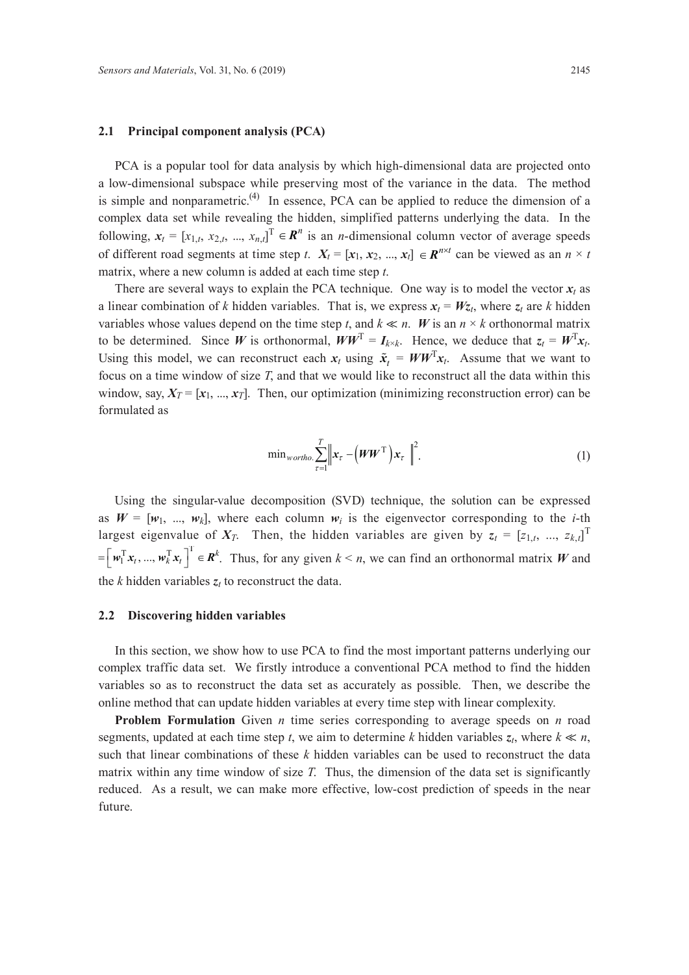## **2.1 Principal component analysis (PCA)**

PCA is a popular tool for data analysis by which high-dimensional data are projected onto a low-dimensional subspace while preserving most of the variance in the data. The method is simple and nonparametric.<sup>(4)</sup> In essence, PCA can be applied to reduce the dimension of a complex data set while revealing the hidden, simplified patterns underlying the data. In the following,  $x_t = [x_{1,t}, x_{2,t}, ..., x_{n,t}]$ <sup>T</sup>  $\in \mathbb{R}^n$  is an *n*-dimensional column vector of average speeds of different road segments at time step *t*.  $X_t = [x_1, x_2, ..., x_t] \in \mathbb{R}^{n \times t}$  can be viewed as an  $n \times t$ matrix, where a new column is added at each time step *t*.

There are several ways to explain the PCA technique. One way is to model the vector  $x_t$  as a linear combination of *k* hidden variables. That is, we express  $x_t = Wz_t$ , where  $z_t$  are *k* hidden variables whose values depend on the time step *t*, and  $k \ll n$ . *W* is an  $n \times k$  orthonormal matrix to be determined. Since *W* is orthonormal,  $WW^T = I_{k \times k}$ . Hence, we deduce that  $z_t = W^T x_t$ . Using this model, we can reconstruct each  $x_t$  using  $\tilde{x}_t = WW^T x_t$ . Assume that we want to focus on a time window of size *T*, and that we would like to reconstruct all the data within this window, say,  $X_T = [x_1, ..., x_T]$ . Then, our optimization (minimizing reconstruction error) can be formulated as

$$
\min_{\text{wortho.}} \sum_{\tau=1}^{T} \left\| \boldsymbol{x}_{\tau} - \left(\boldsymbol{W}\boldsymbol{W}^{\mathrm{T}}\right)\boldsymbol{x}_{\tau}\right\|^{2}.
$$
\n(1)

Using the singular-value decomposition (SVD) technique, the solution can be expressed as  $W = [w_1, ..., w_k]$ , where each column  $w_i$  is the eigenvector corresponding to the *i*-th largest eigenvalue of  $X_T$ . Then, the hidden variables are given by  $z_t = [z_{1,t}, ..., z_{k,t}]$ <sup>T</sup>  $=\left[\boldsymbol{w}_1^{\mathrm{T}}\boldsymbol{x}_t, ..., \boldsymbol{w}_k^{\mathrm{T}}\boldsymbol{x}_t\right]^{\mathrm{T}} \in \mathbf{R}^k$ . Thus, for any given  $k \le n$ , we can find an orthonormal matrix *W* and the *k* hidden variables *zt* to reconstruct the data.

## **2.2 Discovering hidden variables**

In this section, we show how to use PCA to find the most important patterns underlying our complex traffic data set. We firstly introduce a conventional PCA method to find the hidden variables so as to reconstruct the data set as accurately as possible. Then, we describe the online method that can update hidden variables at every time step with linear complexity.

 **Problem Formulation** Given *n* time series corresponding to average speeds on *n* road segments, updated at each time step *t*, we aim to determine *k* hidden variables  $z_t$ , where  $k \ll n$ , such that linear combinations of these *k* hidden variables can be used to reconstruct the data matrix within any time window of size *T*. Thus, the dimension of the data set is significantly reduced. As a result, we can make more effective, low-cost prediction of speeds in the near future.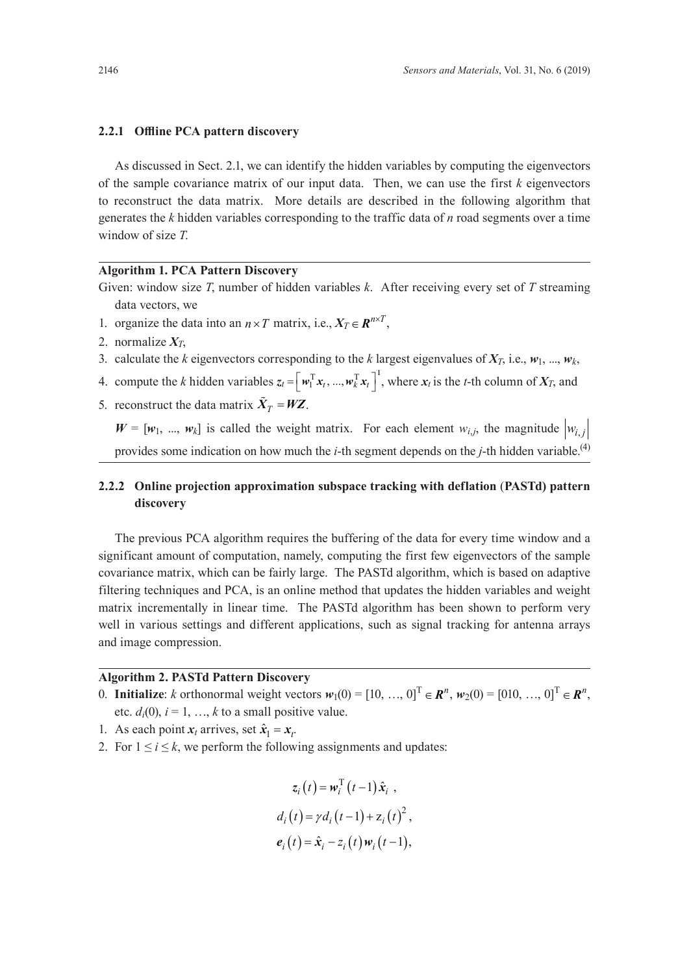## **2.2.1 Offline PCA pattern discovery**

As discussed in Sect. 2.1, we can identify the hidden variables by computing the eigenvectors of the sample covariance matrix of our input data. Then, we can use the first *k* eigenvectors to reconstruct the data matrix. More details are described in the following algorithm that generates the *k* hidden variables corresponding to the traffic data of *n* road segments over a time window of size *T*.

## **Algorithm 1. PCA Pattern Discovery**

Given: window size *T*, number of hidden variables *k*. After receiving every set of *T* streaming data vectors, we

- 1. organize the data into an  $n \times T$  matrix, i.e.,  $X_T \in \mathbb{R}^{n \times T}$ ,
- 2. normalize  $X_T$ ,
- 3. calculate the *k* eigenvectors corresponding to the *k* largest eigenvalues of  $X_T$ , i.e.,  $w_1$ , ...,  $w_k$ ,
- 4. compute the *k* hidden variables  $z_t = \left[ w_1^T x_t, ..., w_k^T x_t \right]^T$ , where  $x_t$  is the *t*-th column of  $X_T$ , and
- 5. reconstruct the data matrix  $\tilde{X}_T = WZ$ .

 $W = [w_1, ..., w_k]$  is called the weight matrix. For each element  $w_{i,j}$ , the magnitude  $|w_{i,j}|$ provides some indication on how much the *i*-th segment depends on the *j*-th hidden variable.(4)

## **2.2.2 Online projection approximation subspace tracking with deflation** (**PASTd) pattern discovery**

The previous PCA algorithm requires the buffering of the data for every time window and a significant amount of computation, namely, computing the first few eigenvectors of the sample covariance matrix, which can be fairly large. The PASTd algorithm, which is based on adaptive filtering techniques and PCA, is an online method that updates the hidden variables and weight matrix incrementally in linear time. The PASTd algorithm has been shown to perform very well in various settings and different applications, such as signal tracking for antenna arrays and image compression.

## **Algorithm 2. PASTd Pattern Discovery**

- 0. **Initialize**: *k* orthonormal weight vectors  $w_1(0) = [10, ..., 0]^T \in \mathbb{R}^n$ ,  $w_2(0) = [010, ..., 0]^T \in \mathbb{R}^n$ . etc.  $d_i(0)$ ,  $i = 1, ..., k$  to a small positive value.
- 1. As each point  $x_t$  arrives, set  $\hat{x}_1 = x_t$ .
- 2. For  $1 \le i \le k$ , we perform the following assignments and updates:

$$
z_i(t) = \mathbf{w}_i^{\mathrm{T}}(t-1)\hat{\mathbf{x}}_i,
$$
  
\n
$$
d_i(t) = \gamma d_i(t-1) + z_i(t)^2,
$$
  
\n
$$
\mathbf{e}_i(t) = \hat{\mathbf{x}}_i - z_i(t)\mathbf{w}_i(t-1),
$$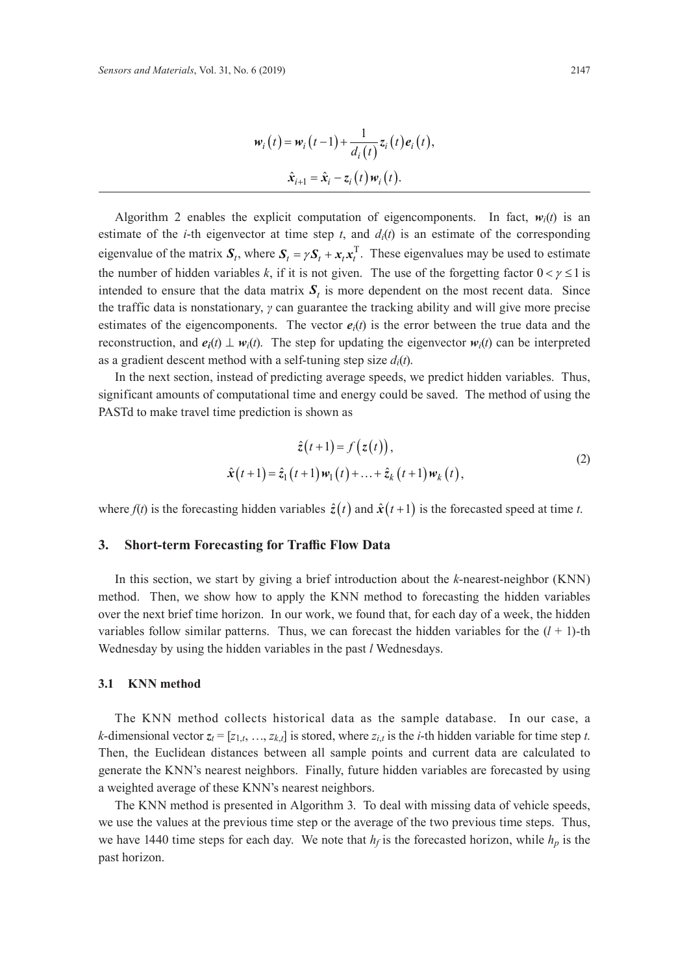$$
w_i(t) = w_i(t-1) + \frac{1}{d_i(t)} z_i(t) e_i(t),
$$
  

$$
\hat{x}_{i+1} = \hat{x}_i - z_i(t) w_i(t).
$$

Algorithm 2 enables the explicit computation of eigencomponents. In fact,  $w_i(t)$  is an estimate of the *i*-th eigenvector at time step *t*, and  $d_i(t)$  is an estimate of the corresponding eigenvalue of the matrix  $S_t$ , where  $S_t = \gamma S_t + x_t x_t^T$ . These eigenvalues may be used to estimate the number of hidden variables k, if it is not given. The use of the forgetting factor  $0 < y \le 1$  is intended to ensure that the data matrix  $S_t$  is more dependent on the most recent data. Since the traffic data is nonstationary, *γ* can guarantee the tracking ability and will give more precise estimates of the eigencomponents. The vector  $e_i(t)$  is the error between the true data and the reconstruction, and  $e_i(t) \perp w_i(t)$ . The step for updating the eigenvector  $w_i(t)$  can be interpreted as a gradient descent method with a self-tuning step size  $d_i(t)$ .

In the next section, instead of predicting average speeds, we predict hidden variables. Thus, significant amounts of computational time and energy could be saved. The method of using the PASTd to make travel time prediction is shown as

$$
\hat{z}(t+1) = f(z(t)),
$$
  
\n
$$
\hat{x}(t+1) = \hat{z}_1(t+1)w_1(t) + \ldots + \hat{z}_k(t+1)w_k(t),
$$
\n(2)

where  $f(t)$  is the forecasting hidden variables  $\hat{z}(t)$  and  $\hat{x}(t+1)$  is the forecasted speed at time *t*.

#### **3. Short-term Forecasting for Traffic Flow Data**

In this section, we start by giving a brief introduction about the *k*-nearest-neighbor (KNN) method. Then, we show how to apply the KNN method to forecasting the hidden variables over the next brief time horizon. In our work, we found that, for each day of a week, the hidden variables follow similar patterns. Thus, we can forecast the hidden variables for the  $(l + 1)$ -th Wednesday by using the hidden variables in the past *l* Wednesdays.

## **3.1 KNN method**

The KNN method collects historical data as the sample database. In our case, a *k*-dimensional vector  $z_t = [z_{1,t}, \ldots, z_{k,t}]$  is stored, where  $z_{i,t}$  is the *i*-th hidden variable for time step *t*. Then, the Euclidean distances between all sample points and current data are calculated to generate the KNN's nearest neighbors. Finally, future hidden variables are forecasted by using a weighted average of these KNN's nearest neighbors.

The KNN method is presented in Algorithm 3. To deal with missing data of vehicle speeds, we use the values at the previous time step or the average of the two previous time steps. Thus, we have 1440 time steps for each day. We note that  $h_f$  is the forecasted horizon, while  $h_p$  is the past horizon.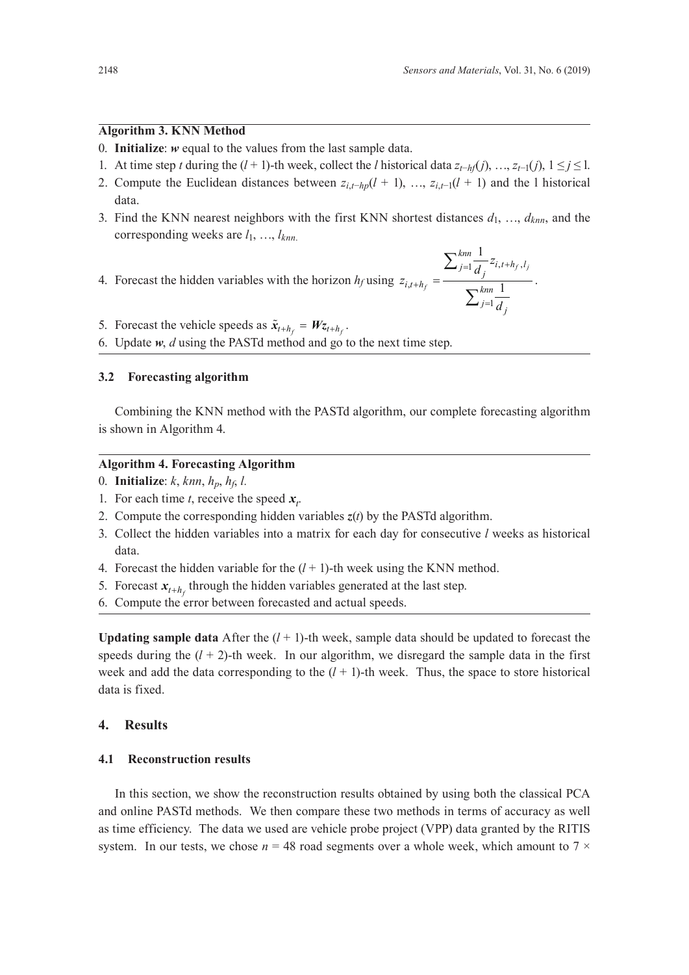## **Algorithm 3. KNN Method**

- 0. **Initialize**: *w* equal to the values from the last sample data.
- 1. At time step *t* during the (*l* + 1)-th week, collect the *l* historical data  $z_{t-hf}(j), ..., z_{t-1}(j), 1 \leq j \leq 1$ .
- 2. Compute the Euclidean distances between  $z_{i,t-hp}(l + 1)$ , …,  $z_{i,t-1}(l + 1)$  and the l historical data.
- 3. Find the KNN nearest neighbors with the first KNN shortest distances *d*1, …, *dknn*, and the corresponding weeks are *l*1, …, *lknn*.
- 4. Forecast the hidden variables with the horizon  $h_f$  using  $z_{i,t+h_f} = \frac{f}{\sum_{n=1}^{\infty} h_n}$ =

$$
=\frac{\sum_{j=1}^{knn}\frac{1}{d_j}z_{i,t+h_f,l_j}}{\sum_{j=1}^{knn}\frac{1}{d_j}}
$$

.

- 5. Forecast the vehicle speeds as  $\tilde{x}_{t+h_c} = Wz_{t+h_c}$ .
- 6. Update *w*, *d* using the PASTd method and go to the next time step.

## **3.2 Forecasting algorithm**

Combining the KNN method with the PASTd algorithm, our complete forecasting algorithm is shown in Algorithm 4.

## **Algorithm 4. Forecasting Algorithm**

- 0. **Initialize**: *k*, *knn*, *hp*, *hf*, *l.*
- 1. For each time *t*, receive the speed  $x_i$ .
- 2. Compute the corresponding hidden variables  $z(t)$  by the PASTd algorithm.
- 3. Collect the hidden variables into a matrix for each day for consecutive *l* weeks as historical data.
- 4. Forecast the hidden variable for the  $(l + 1)$ -th week using the KNN method.
- 5. Forecast  $x_{t+h_f}$  through the hidden variables generated at the last step.
- 6. Compute the error between forecasted and actual speeds.

**Updating sample data** After the  $(l + 1)$ -th week, sample data should be updated to forecast the speeds during the  $(l + 2)$ -th week. In our algorithm, we disregard the sample data in the first week and add the data corresponding to the  $(l + 1)$ -th week. Thus, the space to store historical data is fixed.

## **4. Results**

## **4.1 Reconstruction results**

In this section, we show the reconstruction results obtained by using both the classical PCA and online PASTd methods. We then compare these two methods in terms of accuracy as well as time efficiency. The data we used are vehicle probe project (VPP) data granted by the RITIS system. In our tests, we chose  $n = 48$  road segments over a whole week, which amount to  $7 \times$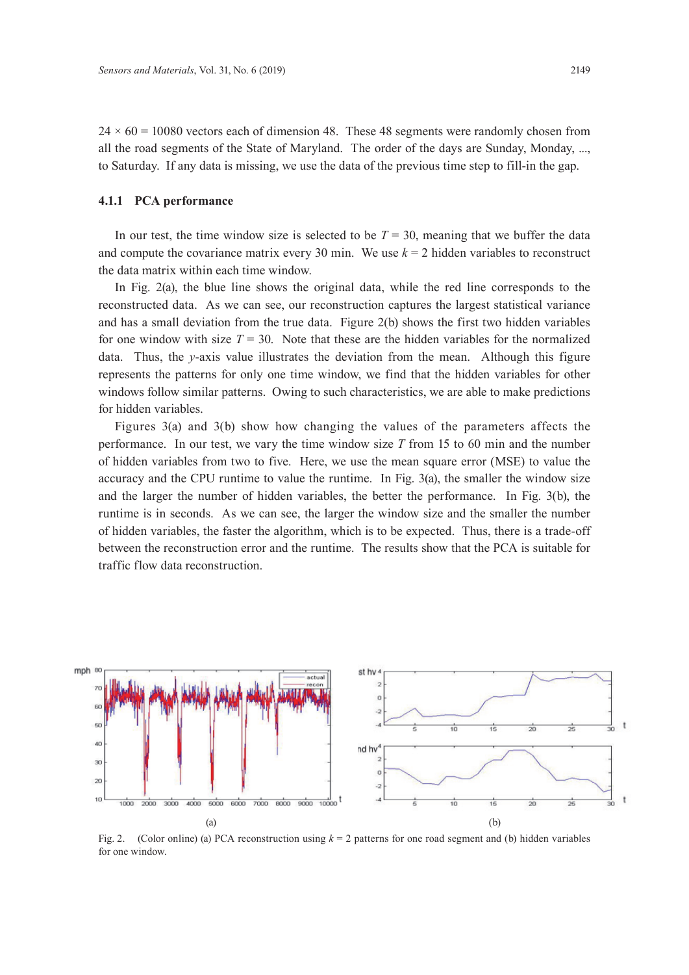$24 \times 60 = 10080$  vectors each of dimension 48. These 48 segments were randomly chosen from all the road segments of the State of Maryland. The order of the days are Sunday, Monday, ..., to Saturday. If any data is missing, we use the data of the previous time step to fill-in the gap.

#### **4.1.1 PCA performance**

In our test, the time window size is selected to be  $T = 30$ , meaning that we buffer the data and compute the covariance matrix every 30 min. We use  $k = 2$  hidden variables to reconstruct the data matrix within each time window.

In Fig. 2(a), the blue line shows the original data, while the red line corresponds to the reconstructed data. As we can see, our reconstruction captures the largest statistical variance and has a small deviation from the true data. Figure 2(b) shows the first two hidden variables for one window with size  $T = 30$ . Note that these are the hidden variables for the normalized data. Thus, the *y*-axis value illustrates the deviation from the mean. Although this figure represents the patterns for only one time window, we find that the hidden variables for other windows follow similar patterns. Owing to such characteristics, we are able to make predictions for hidden variables.

Figures 3(a) and 3(b) show how changing the values of the parameters affects the performance. In our test, we vary the time window size *T* from 15 to 60 min and the number of hidden variables from two to five. Here, we use the mean square error (MSE) to value the accuracy and the CPU runtime to value the runtime. In Fig. 3(a), the smaller the window size and the larger the number of hidden variables, the better the performance. In Fig. 3(b), the runtime is in seconds. As we can see, the larger the window size and the smaller the number of hidden variables, the faster the algorithm, which is to be expected. Thus, there is a trade-off between the reconstruction error and the runtime. The results show that the PCA is suitable for traffic flow data reconstruction.



Fig. 2. (Color online) (a) PCA reconstruction using *k* = 2 patterns for one road segment and (b) hidden variables for one window.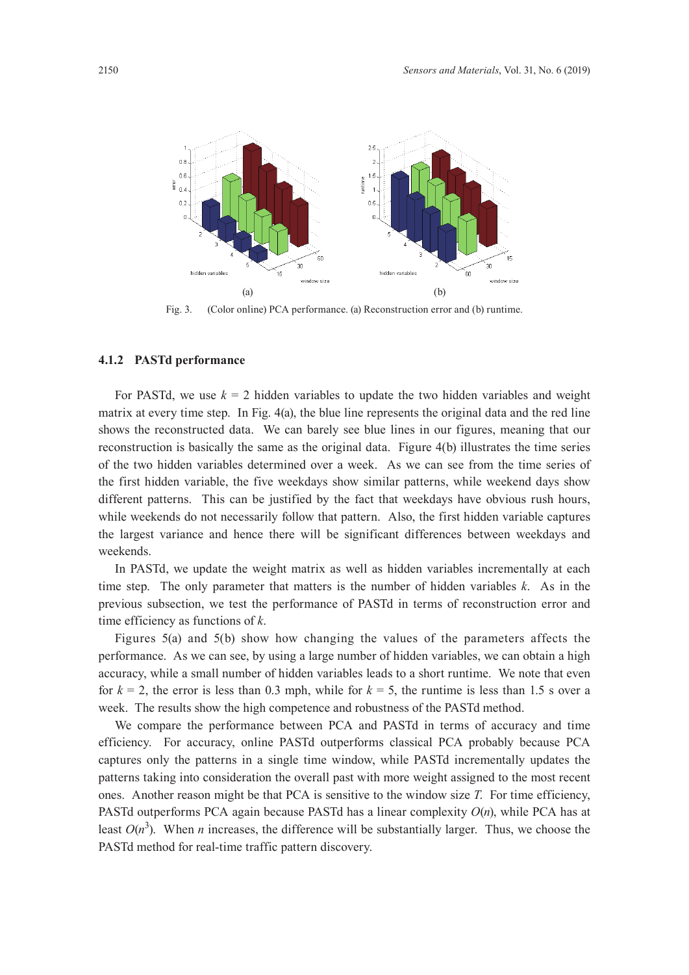

Fig. 3. (Color online) PCA performance. (a) Reconstruction error and (b) runtime.

## **4.1.2 PASTd performance**

For PASTd, we use  $k = 2$  hidden variables to update the two hidden variables and weight matrix at every time step. In Fig. 4(a), the blue line represents the original data and the red line shows the reconstructed data. We can barely see blue lines in our figures, meaning that our reconstruction is basically the same as the original data. Figure 4(b) illustrates the time series of the two hidden variables determined over a week. As we can see from the time series of the first hidden variable, the five weekdays show similar patterns, while weekend days show different patterns. This can be justified by the fact that weekdays have obvious rush hours, while weekends do not necessarily follow that pattern. Also, the first hidden variable captures the largest variance and hence there will be significant differences between weekdays and weekends.

In PASTd, we update the weight matrix as well as hidden variables incrementally at each time step. The only parameter that matters is the number of hidden variables *k*. As in the previous subsection, we test the performance of PASTd in terms of reconstruction error and time efficiency as functions of *k*.

Figures 5(a) and 5(b) show how changing the values of the parameters affects the performance. As we can see, by using a large number of hidden variables, we can obtain a high accuracy, while a small number of hidden variables leads to a short runtime. We note that even for  $k = 2$ , the error is less than 0.3 mph, while for  $k = 5$ , the runtime is less than 1.5 s over a week. The results show the high competence and robustness of the PASTd method.

We compare the performance between PCA and PASTd in terms of accuracy and time efficiency. For accuracy, online PASTd outperforms classical PCA probably because PCA captures only the patterns in a single time window, while PASTd incrementally updates the patterns taking into consideration the overall past with more weight assigned to the most recent ones. Another reason might be that PCA is sensitive to the window size *T*. For time efficiency, PASTd outperforms PCA again because PASTd has a linear complexity *O*(*n*), while PCA has at least  $O(n^3)$ . When *n* increases, the difference will be substantially larger. Thus, we choose the PASTd method for real-time traffic pattern discovery.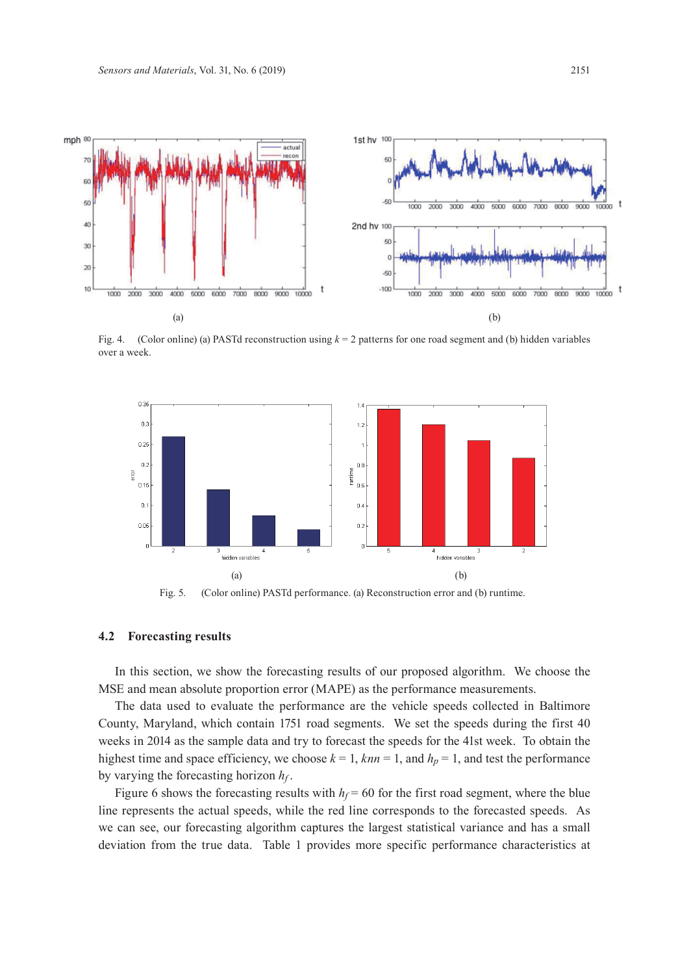

Fig. 4. (Color online) (a) PASTd reconstruction using *k* = 2 patterns for one road segment and (b) hidden variables over a week.



Fig. 5. (Color online) PASTd performance. (a) Reconstruction error and (b) runtime.

#### **4.2 Forecasting results**

In this section, we show the forecasting results of our proposed algorithm. We choose the MSE and mean absolute proportion error (MAPE) as the performance measurements.

The data used to evaluate the performance are the vehicle speeds collected in Baltimore County, Maryland, which contain 1751 road segments. We set the speeds during the first 40 weeks in 2014 as the sample data and try to forecast the speeds for the 41st week. To obtain the highest time and space efficiency, we choose  $k = 1$ ,  $knn = 1$ , and  $h_p = 1$ , and test the performance by varying the forecasting horizon  $h_f$ .

Figure 6 shows the forecasting results with  $h_f = 60$  for the first road segment, where the blue line represents the actual speeds, while the red line corresponds to the forecasted speeds. As we can see, our forecasting algorithm captures the largest statistical variance and has a small deviation from the true data. Table 1 provides more specific performance characteristics at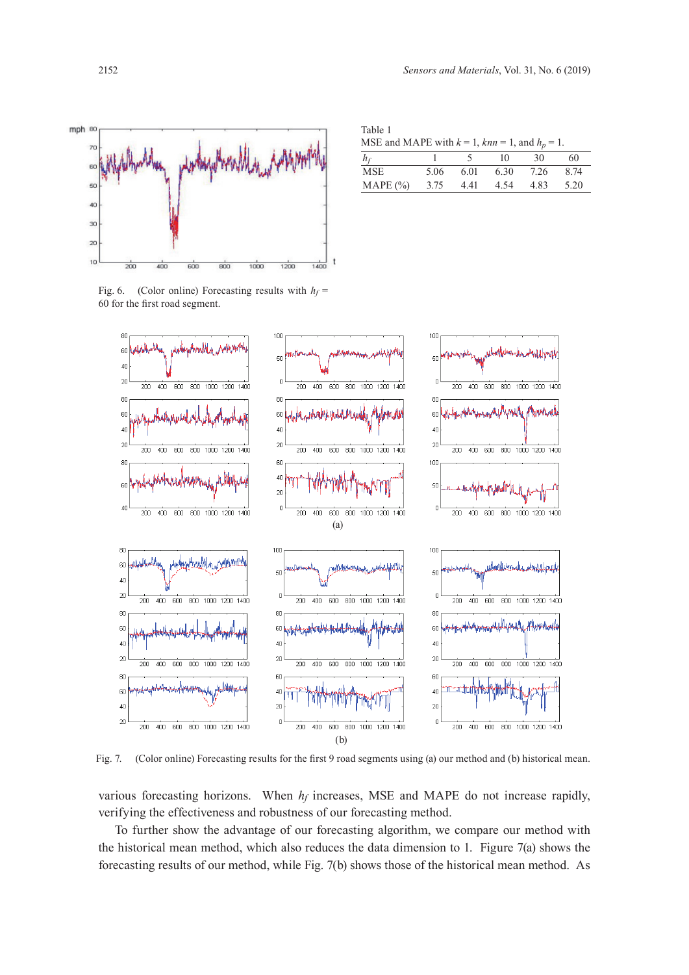

Table 1

| 60           |
|--------------|
| 7.26<br>8.74 |
| 5.20<br>4.83 |
|              |





Fig. 7. (Color online) Forecasting results for the first 9 road segments using (a) our method and (b) historical mean.

various forecasting horizons. When  $h_f$  increases, MSE and MAPE do not increase rapidly, verifying the effectiveness and robustness of our forecasting method.

To further show the advantage of our forecasting algorithm, we compare our method with the historical mean method, which also reduces the data dimension to 1. Figure 7(a) shows the forecasting results of our method, while Fig. 7(b) shows those of the historical mean method. As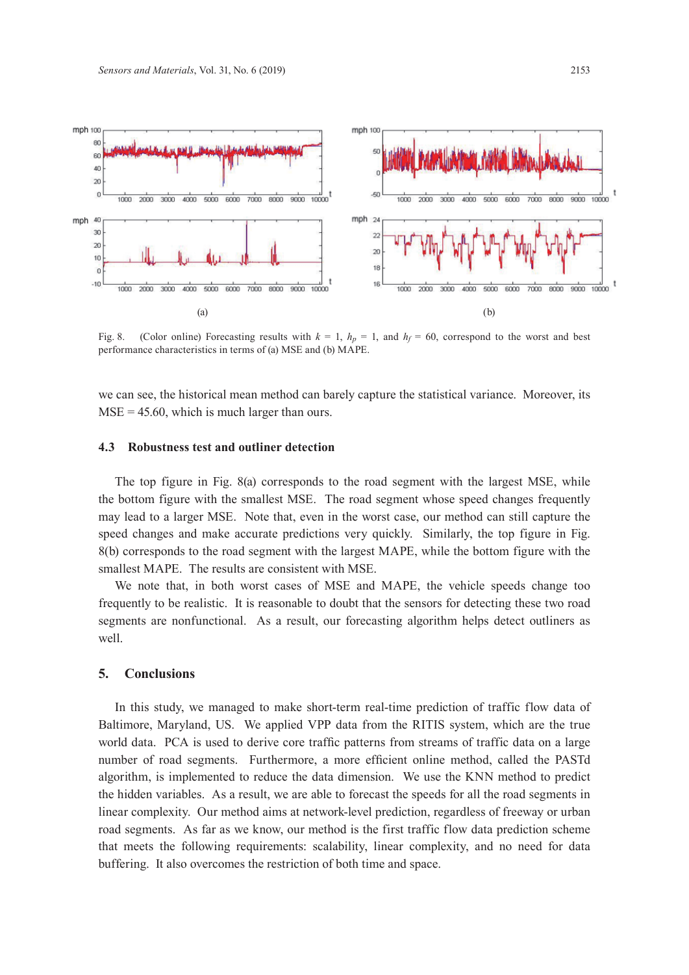

Fig. 8. (Color online) Forecasting results with  $k = 1$ ,  $h_p = 1$ , and  $h_f = 60$ , correspond to the worst and best performance characteristics in terms of (a) MSE and (b) MAPE.

we can see, the historical mean method can barely capture the statistical variance. Moreover, its  $MSE = 45.60$ , which is much larger than ours.

#### **4.3 Robustness test and outliner detection**

The top figure in Fig. 8(a) corresponds to the road segment with the largest MSE, while the bottom figure with the smallest MSE. The road segment whose speed changes frequently may lead to a larger MSE. Note that, even in the worst case, our method can still capture the speed changes and make accurate predictions very quickly. Similarly, the top figure in Fig. 8(b) corresponds to the road segment with the largest MAPE, while the bottom figure with the smallest MAPE. The results are consistent with MSE.

We note that, in both worst cases of MSE and MAPE, the vehicle speeds change too frequently to be realistic. It is reasonable to doubt that the sensors for detecting these two road segments are nonfunctional. As a result, our forecasting algorithm helps detect outliners as well.

#### **5. Conclusions**

In this study, we managed to make short-term real-time prediction of traffic flow data of Baltimore, Maryland, US. We applied VPP data from the RITIS system, which are the true world data. PCA is used to derive core traffic patterns from streams of traffic data on a large number of road segments. Furthermore, a more efficient online method, called the PASTd algorithm, is implemented to reduce the data dimension. We use the KNN method to predict the hidden variables. As a result, we are able to forecast the speeds for all the road segments in linear complexity. Our method aims at network-level prediction, regardless of freeway or urban road segments. As far as we know, our method is the first traffic flow data prediction scheme that meets the following requirements: scalability, linear complexity, and no need for data buffering. It also overcomes the restriction of both time and space.